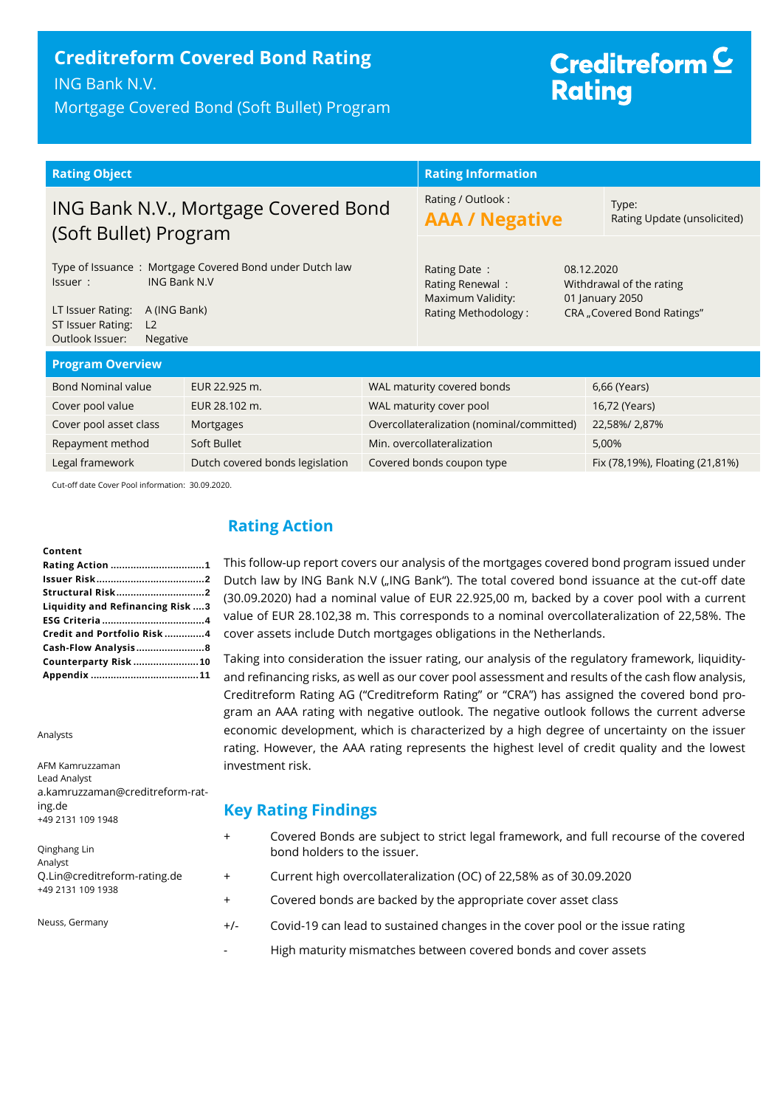# **Creditreform Covered Bond Rating**

ING Bank N.V.

Mortgage Covered Bond (Soft Bullet) Program

# Creditreform<sup>C</sup> **Rating**

| <b>Rating Object</b>                                                                                                                                                                                        |                                 | <b>Rating Information</b>                                                   |                                                                                         |  |                                 |
|-------------------------------------------------------------------------------------------------------------------------------------------------------------------------------------------------------------|---------------------------------|-----------------------------------------------------------------------------|-----------------------------------------------------------------------------------------|--|---------------------------------|
| ING Bank N.V., Mortgage Covered Bond<br>(Soft Bullet) Program                                                                                                                                               |                                 | Rating / Outlook:<br><b>AAA / Negative</b>                                  | Type:<br>Rating Update (unsolicited)                                                    |  |                                 |
| Type of Issuance: Mortgage Covered Bond under Dutch law<br><b>ING Bank N.V</b><br>Issuer:<br>LT Issuer Rating:<br>A (ING Bank)<br>ST Issuer Rating:<br>L <sub>2</sub><br>Outlook Issuer:<br><b>Negative</b> |                                 | Rating Date:<br>Rating Renewal:<br>Maximum Validity:<br>Rating Methodology: | 08.12.2020<br>Withdrawal of the rating<br>01 January 2050<br>CRA "Covered Bond Ratings" |  |                                 |
| <b>Program Overview</b>                                                                                                                                                                                     |                                 |                                                                             |                                                                                         |  |                                 |
| <b>Bond Nominal value</b>                                                                                                                                                                                   | EUR 22.925 m.                   |                                                                             | WAL maturity covered bonds                                                              |  | 6,66 (Years)                    |
| Cover pool value                                                                                                                                                                                            | EUR 28.102 m.                   |                                                                             | WAL maturity cover pool                                                                 |  | 16,72 (Years)                   |
| Cover pool asset class                                                                                                                                                                                      | Mortgages                       |                                                                             | Overcollateralization (nominal/committed)                                               |  | 22,58%/2,87%                    |
| Repayment method                                                                                                                                                                                            | Soft Bullet                     |                                                                             | Min. overcollateralization                                                              |  | 5,00%                           |
| Legal framework                                                                                                                                                                                             | Dutch covered bonds legislation |                                                                             | Covered bonds coupon type                                                               |  | Fix (78,19%), Floating (21,81%) |
| Cut off data Cover Bool information: 20,00,2020                                                                                                                                                             |                                 |                                                                             |                                                                                         |  |                                 |

Cut-off date Cover Pool information: 30.09.2020.

#### **Content**

| Liquidity and Refinancing Risk 3 |  |
|----------------------------------|--|
|                                  |  |
| Credit and Portfolio Risk4       |  |
| Cash-Flow Analysis8              |  |
| Counterparty Risk 10             |  |
|                                  |  |

Analysts

AFM Kamruzzaman Lead Analyst a.kamruzzaman@creditreform-rating.de +49 2131 109 1948

Qinghang Lin Analyst Q.Lin@creditreform-rating.de +49 2131 109 1938

Neuss, Germany

## <span id="page-0-0"></span>**Rating Action**

This follow-up report covers our analysis of the mortgages covered bond program issued under Dutch law by ING Bank N.V ("ING Bank"). The total covered bond issuance at the cut-off date (30.09.2020) had a nominal value of EUR 22.925,00 m, backed by a cover pool with a current value of EUR 28.102,38 m. This corresponds to a nominal overcollateralization of 22,58%. The cover assets include Dutch mortgages obligations in the Netherlands.

Taking into consideration the issuer rating, our analysis of the regulatory framework, liquidityand refinancing risks, as well as our cover pool assessment and results of the cash flow analysis, Creditreform Rating AG ("Creditreform Rating" or "CRA") has assigned the covered bond program an AAA rating with negative outlook. The negative outlook follows the current adverse economic development, which is characterized by a high degree of uncertainty on the issuer rating. However, the AAA rating represents the highest level of credit quality and the lowest investment risk.

### **Key Rating Findings**

- + Covered Bonds are subject to strict legal framework, and full recourse of the covered bond holders to the issuer.
- + Current high overcollateralization (OC) of 22,58% as of 30.09.2020
- + Covered bonds are backed by the appropriate cover asset class
- +/- Covid-19 can lead to sustained changes in the cover pool or the issue rating
	- High maturity mismatches between covered bonds and cover assets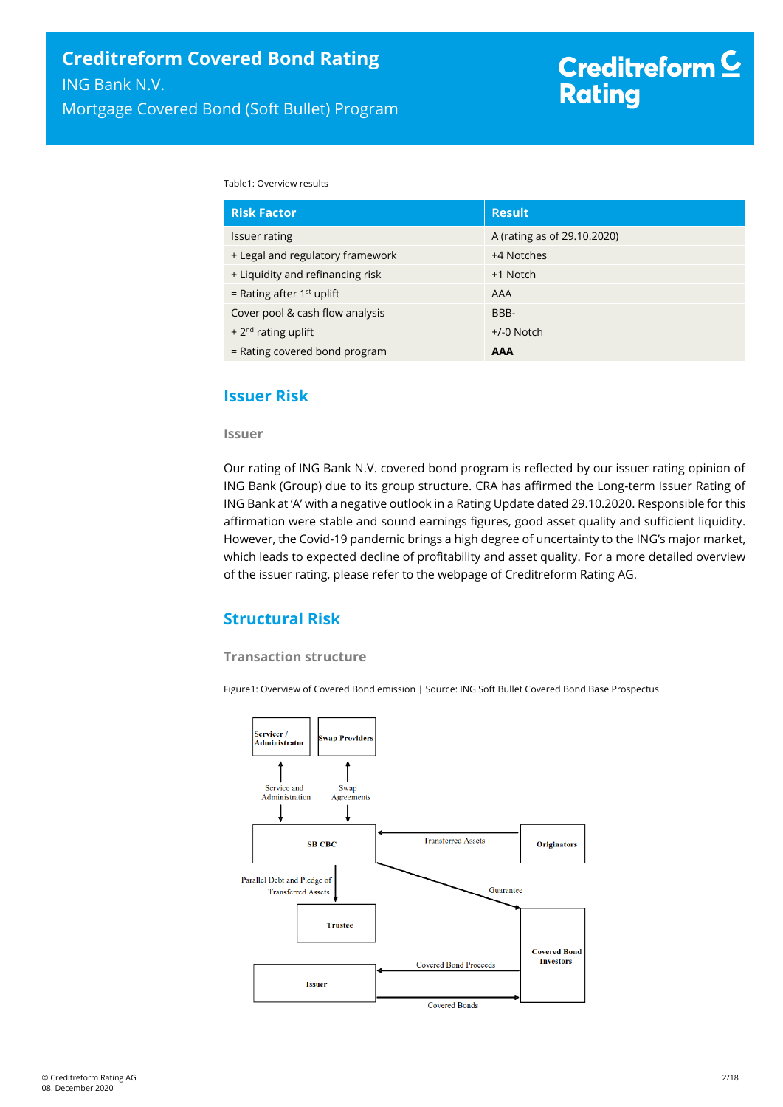Table1: Overview results

| <b>Risk Factor</b>               | <b>Result</b>               |
|----------------------------------|-----------------------------|
| Issuer rating                    | A (rating as of 29.10.2020) |
| + Legal and regulatory framework | +4 Notches                  |
| + Liquidity and refinancing risk | +1 Notch                    |
| = Rating after $1st$ uplift      | AAA                         |
| Cover pool & cash flow analysis  | BBB-                        |
| + $2nd$ rating uplift            | $+/-0$ Notch                |
| = Rating covered bond program    | <b>AAA</b>                  |

## <span id="page-1-0"></span>**Issuer Risk**

#### **Issuer**

Our rating of ING Bank N.V. covered bond program is reflected by our issuer rating opinion of ING Bank (Group) due to its group structure. CRA has affirmed the Long-term Issuer Rating of ING Bank at 'A' with a negative outlook in a Rating Update dated 29.10.2020. Responsible for this affirmation were stable and sound earnings figures, good asset quality and sufficient liquidity. However, the Covid-19 pandemic brings a high degree of uncertainty to the ING's major market, which leads to expected decline of profitability and asset quality. For a more detailed overview of the issuer rating, please refer to the webpage of Creditreform Rating AG.

## <span id="page-1-1"></span>**Structural Risk**

#### **Transaction structure**

Figure1: Overview of Covered Bond emission | Source: ING Soft Bullet Covered Bond Base Prospectus

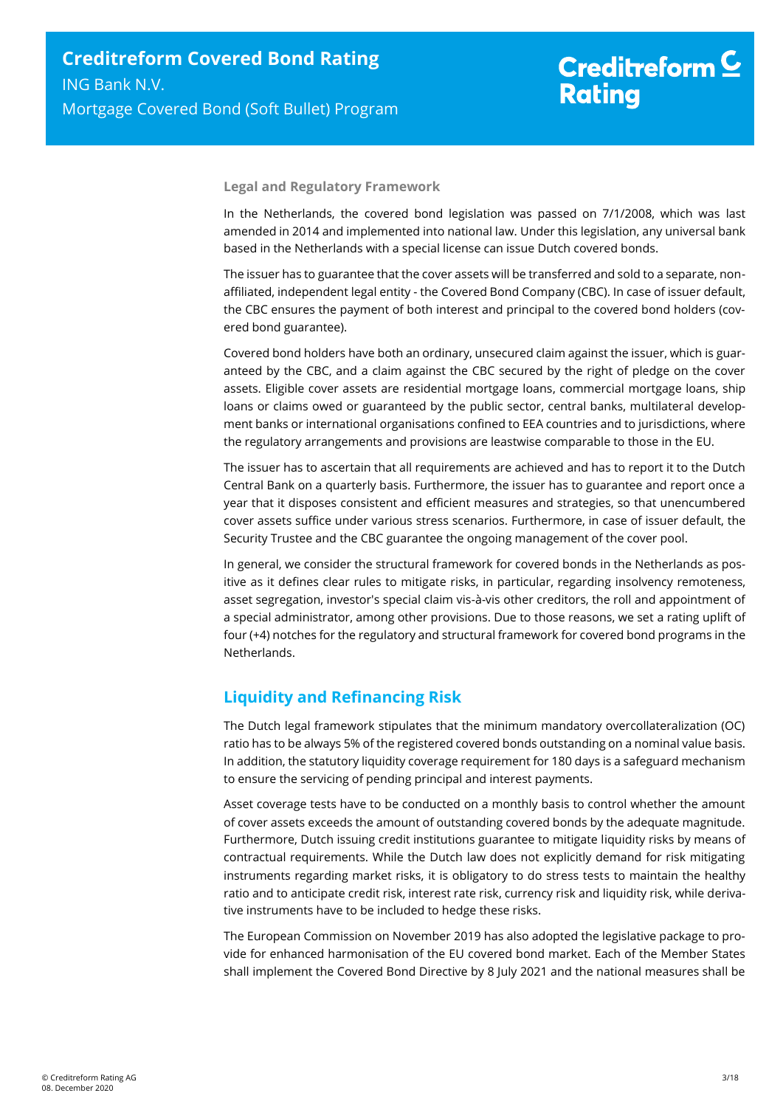# Creditreform<sup>C</sup> **Rating**

#### **Legal and Regulatory Framework**

In the Netherlands, the covered bond legislation was passed on 7/1/2008, which was last amended in 2014 and implemented into national law. Under this legislation, any universal bank based in the Netherlands with a special license can issue Dutch covered bonds.

The issuer has to guarantee that the cover assets will be transferred and sold to a separate, nonaffiliated, independent legal entity - the Covered Bond Company (CBC). In case of issuer default, the CBC ensures the payment of both interest and principal to the covered bond holders (covered bond guarantee).

Covered bond holders have both an ordinary, unsecured claim against the issuer, which is guaranteed by the CBC, and a claim against the CBC secured by the right of pledge on the cover assets. Eligible cover assets are residential mortgage loans, commercial mortgage loans, ship loans or claims owed or guaranteed by the public sector, central banks, multilateral development banks or international organisations confined to EEA countries and to jurisdictions, where the regulatory arrangements and provisions are leastwise comparable to those in the EU.

The issuer has to ascertain that all requirements are achieved and has to report it to the Dutch Central Bank on a quarterly basis. Furthermore, the issuer has to guarantee and report once a year that it disposes consistent and efficient measures and strategies, so that unencumbered cover assets suffice under various stress scenarios. Furthermore, in case of issuer default, the Security Trustee and the CBC guarantee the ongoing management of the cover pool.

In general, we consider the structural framework for covered bonds in the Netherlands as positive as it defines clear rules to mitigate risks, in particular, regarding insolvency remoteness, asset segregation, investor's special claim vis-à-vis other creditors, the roll and appointment of a special administrator, among other provisions. Due to those reasons, we set a rating uplift of four (+4) notches for the regulatory and structural framework for covered bond programs in the Netherlands.

# <span id="page-2-0"></span>**Liquidity and Refinancing Risk**

The Dutch legal framework stipulates that the minimum mandatory overcollateralization (OC) ratio has to be always 5% of the registered covered bonds outstanding on a nominal value basis. In addition, the statutory liquidity coverage requirement for 180 days is a safeguard mechanism to ensure the servicing of pending principal and interest payments.

Asset coverage tests have to be conducted on a monthly basis to control whether the amount of cover assets exceeds the amount of outstanding covered bonds by the adequate magnitude. Furthermore, Dutch issuing credit institutions guarantee to mitigate liquidity risks by means of contractual requirements. While the Dutch law does not explicitly demand for risk mitigating instruments regarding market risks, it is obligatory to do stress tests to maintain the healthy ratio and to anticipate credit risk, interest rate risk, currency risk and liquidity risk, while derivative instruments have to be included to hedge these risks.

The European Commission on November 2019 has also adopted the legislative package to provide for enhanced harmonisation of the EU covered bond market. Each of the Member States shall implement the Covered Bond Directive by 8 July 2021 and the national measures shall be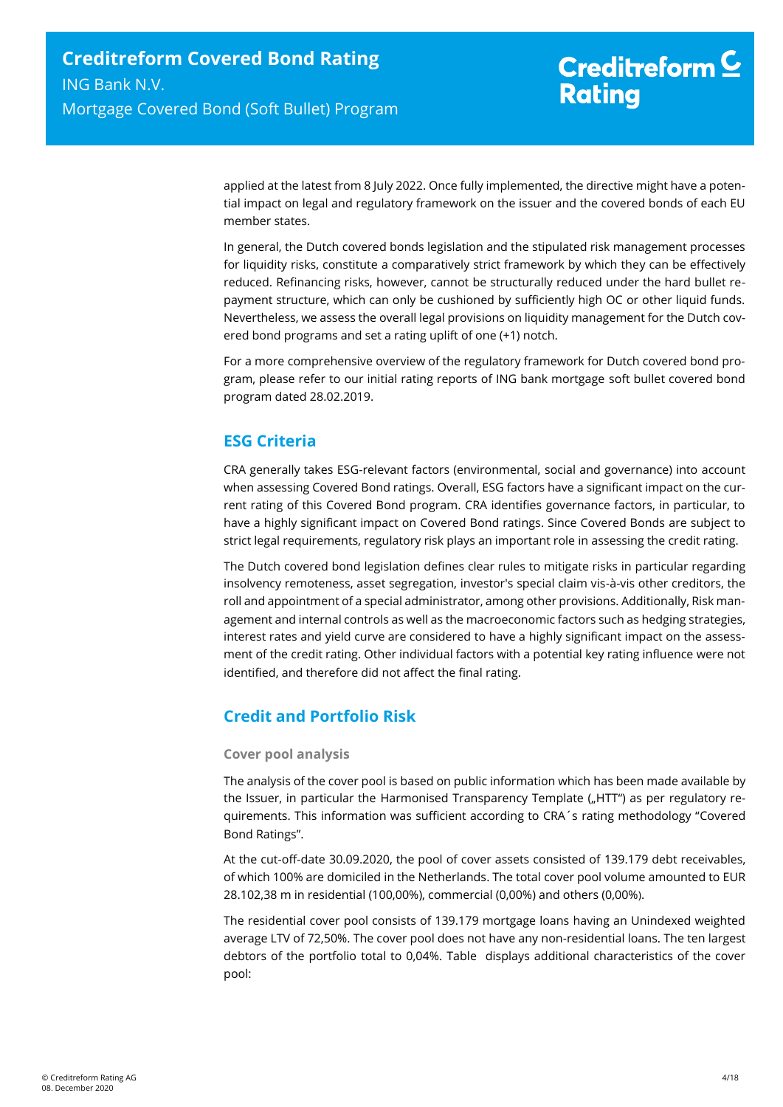applied at the latest from 8 July 2022. Once fully implemented, the directive might have a potential impact on legal and regulatory framework on the issuer and the covered bonds of each EU member states.

In general, the Dutch covered bonds legislation and the stipulated risk management processes for liquidity risks, constitute a comparatively strict framework by which they can be effectively reduced. Refinancing risks, however, cannot be structurally reduced under the hard bullet repayment structure, which can only be cushioned by sufficiently high OC or other liquid funds. Nevertheless, we assess the overall legal provisions on liquidity management for the Dutch covered bond programs and set a rating uplift of one (+1) notch.

For a more comprehensive overview of the regulatory framework for Dutch covered bond program, please refer to our initial rating reports of ING bank mortgage soft bullet covered bond program dated 28.02.2019.

# <span id="page-3-0"></span>**ESG Criteria**

CRA generally takes ESG-relevant factors (environmental, social and governance) into account when assessing Covered Bond ratings. Overall, ESG factors have a significant impact on the current rating of this Covered Bond program. CRA identifies governance factors, in particular, to have a highly significant impact on Covered Bond ratings. Since Covered Bonds are subject to strict legal requirements, regulatory risk plays an important role in assessing the credit rating.

The Dutch covered bond legislation defines clear rules to mitigate risks in particular regarding insolvency remoteness, asset segregation, investor's special claim vis-à-vis other creditors, the roll and appointment of a special administrator, among other provisions. Additionally, Risk management and internal controls as well as the macroeconomic factors such as hedging strategies, interest rates and yield curve are considered to have a highly significant impact on the assessment of the credit rating. Other individual factors with a potential key rating influence were not identified, and therefore did not affect the final rating.

# <span id="page-3-1"></span>**Credit and Portfolio Risk**

#### **Cover pool analysis**

The analysis of the cover pool is based on public information which has been made available by the Issuer, in particular the Harmonised Transparency Template ("HTT") as per regulatory requirements. This information was sufficient according to CRA´s rating methodology "Covered Bond Ratings".

At the cut-off-date 30.09.2020, the pool of cover assets consisted of 139.179 debt receivables, of which 100% are domiciled in the Netherlands. The total cover pool volume amounted to EUR 28.102,38 m in residential (100,00%), commercial (0,00%) and others (0,00%).

The residential cover pool consists of 139.179 mortgage loans having an Unindexed weighted average LTV of 72,50%. The cover pool does not have any non-residential loans. The ten largest debtors of the portfolio total to 0,04%. [Table](#page-4-0) displays additional characteristics of the cover pool: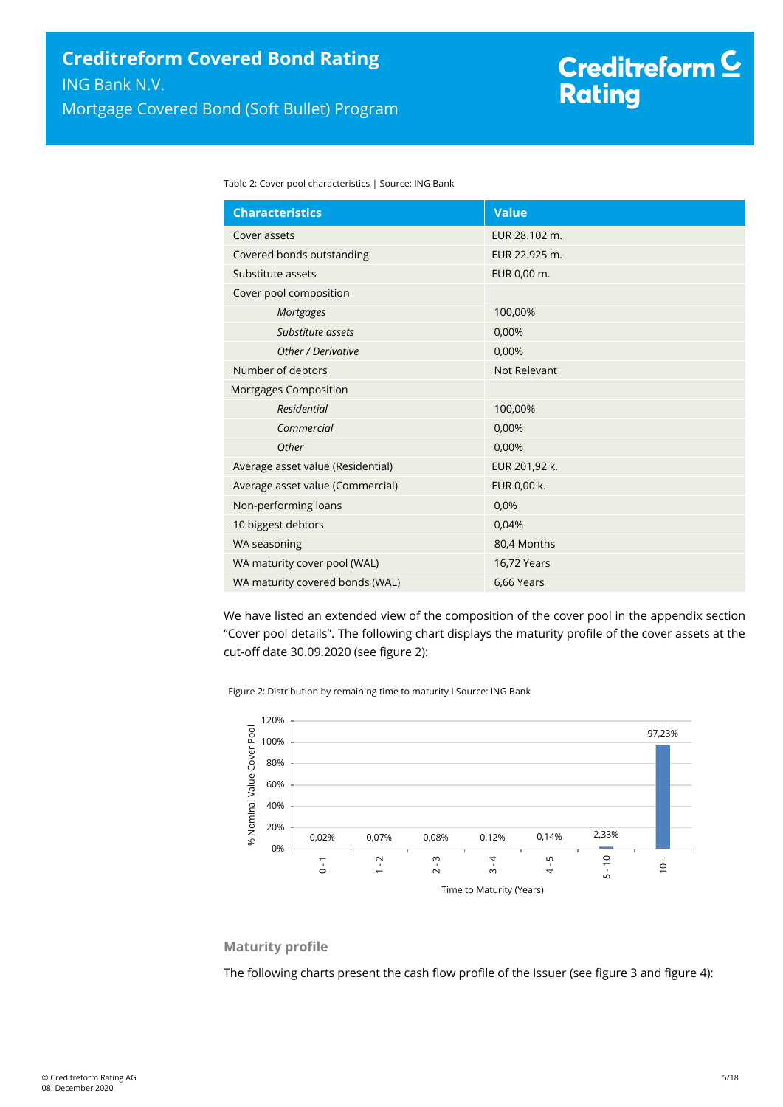<span id="page-4-0"></span>Table 2: Cover pool characteristics | Source: ING Bank

| <b>Characteristics</b>            | <b>Value</b>  |
|-----------------------------------|---------------|
| Cover assets                      | EUR 28.102 m. |
| Covered bonds outstanding         | EUR 22.925 m. |
| Substitute assets                 | EUR 0,00 m.   |
| Cover pool composition            |               |
| Mortgages                         | 100,00%       |
| Substitute assets                 | 0,00%         |
| Other / Derivative                | 0,00%         |
| Number of debtors                 | Not Relevant  |
| Mortgages Composition             |               |
| <b>Residential</b>                | 100,00%       |
| Commercial                        | 0,00%         |
| Other                             | 0,00%         |
| Average asset value (Residential) | EUR 201,92 k. |
| Average asset value (Commercial)  | EUR 0,00 k.   |
| Non-performing loans              | 0,0%          |
| 10 biggest debtors                | 0,04%         |
| WA seasoning                      | 80,4 Months   |
| WA maturity cover pool (WAL)      | 16,72 Years   |
| WA maturity covered bonds (WAL)   | 6,66 Years    |

We have listed an extended view of the composition of the cover pool in the appendix section "Cover pool details". The following chart displays the maturity profile of the cover assets at the cut-off date 30.09.2020 (see [figure 2\)](#page-4-1):

<span id="page-4-1"></span>Figure 2: Distribution by remaining time to maturity I Source: ING Bank



#### **Maturity profile**

The following charts present the cash flow profile of the Issuer (see [figure 3](#page-5-0) an[d figure 4\)](#page-5-1):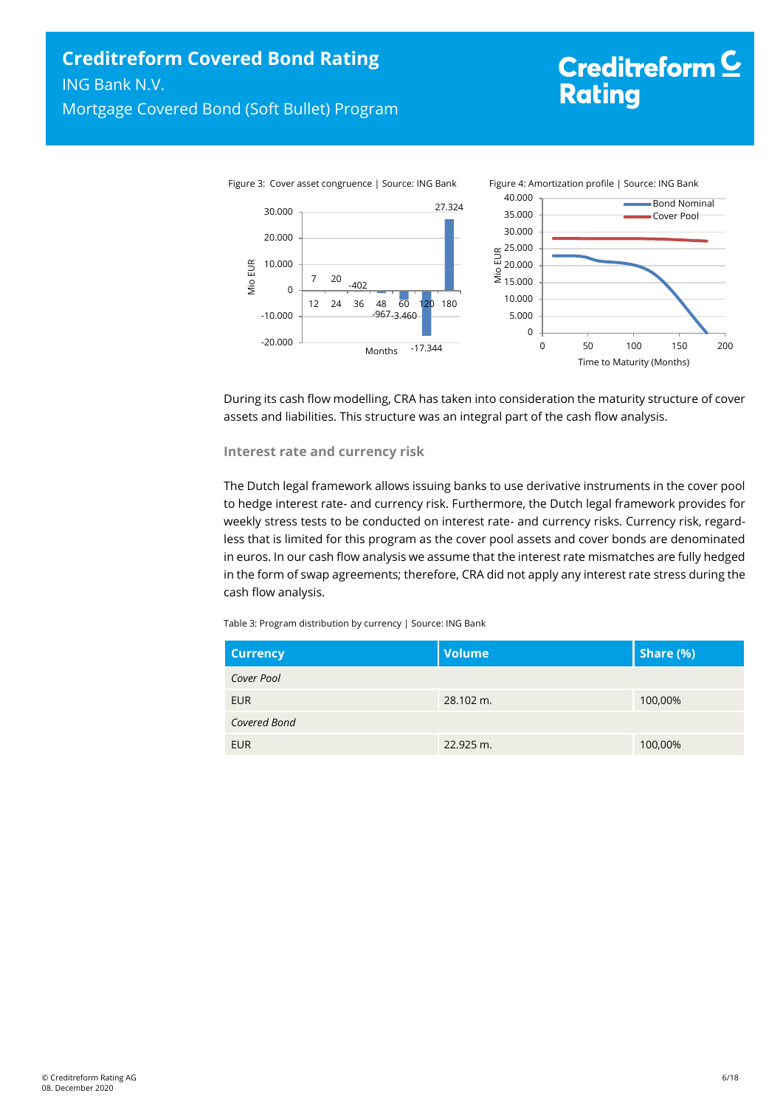# <span id="page-5-1"></span>Creditreform<sup>C</sup> **Rating**

<span id="page-5-0"></span>

During its cash flow modelling, CRA has taken into consideration the maturity structure of cover assets and liabilities. This structure was an integral part of the cash flow analysis.

#### **Interest rate and currency risk**

The Dutch legal framework allows issuing banks to use derivative instruments in the cover pool to hedge interest rate- and currency risk. Furthermore, the Dutch legal framework provides for weekly stress tests to be conducted on interest rate- and currency risks. Currency risk, regardless that is limited for this program as the cover pool assets and cover bonds are denominated in euros. In our cash flow analysis we assume that the interest rate mismatches are fully hedged in the form of swap agreements; therefore, CRA did not apply any interest rate stress during the cash flow analysis.

| Table 3: Program distribution by currency   Source: ING Bank |  |  |
|--------------------------------------------------------------|--|--|
|                                                              |  |  |

| <b>Currency</b> | <b>Volume</b> | Share (%) |
|-----------------|---------------|-----------|
| Cover Pool      |               |           |
| <b>EUR</b>      | 28.102 m.     | 100,00%   |
| Covered Bond    |               |           |
| <b>EUR</b>      | 22.925 m.     | 100,00%   |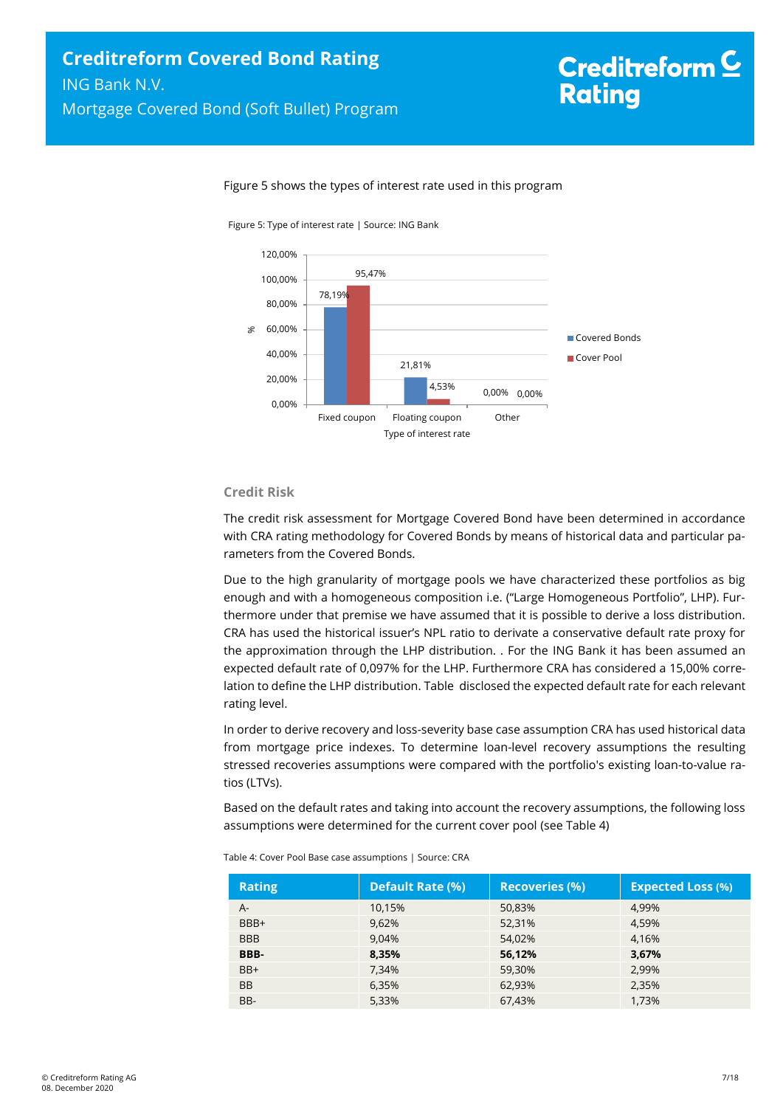#### Figure 5 shows the types of interest rate used in this program

Figure 5: Type of interest rate | Source: ING Bank



#### **Credit Risk**

The credit risk assessment for Mortgage Covered Bond have been determined in accordance with CRA rating methodology for Covered Bonds by means of historical data and particular parameters from the Covered Bonds.

Due to the high granularity of mortgage pools we have characterized these portfolios as big enough and with a homogeneous composition i.e. ("Large Homogeneous Portfolio", LHP). Furthermore under that premise we have assumed that it is possible to derive a loss distribution. CRA has used the historical issuer's NPL ratio to derivate a conservative default rate proxy for the approximation through the LHP distribution. . For the ING Bank it has been assumed an expected default rate of 0,097% for the LHP. Furthermore CRA has considered a 15,00% correlation to define the LHP distribution[. Table](#page-6-0) disclosed the expected default rate for each relevant rating level.

In order to derive recovery and loss-severity base case assumption CRA has used historical data from mortgage price indexes. To determine loan-level recovery assumptions the resulting stressed recoveries assumptions were compared with the portfolio's existing loan-to-value ratios (LTVs).

Based on the default rates and taking into account the recovery assumptions, the following loss assumptions were determined for the current cover pool (see Table 4)

| <b>Rating</b> | <b>Default Rate (%)</b> | <b>Recoveries (%)</b> | <b>Expected Loss (%)</b> |
|---------------|-------------------------|-----------------------|--------------------------|
| A-            | 10.15%                  | 50,83%                | 4.99%                    |
| BBB+          | 9,62%                   | 52,31%                | 4,59%                    |
| <b>BBB</b>    | 9.04%                   | 54.02%                | 4.16%                    |
| BBB-          | 8,35%                   | 56,12%                | 3,67%                    |
| $BB+$         | 7,34%                   | 59,30%                | 2,99%                    |
| <b>BB</b>     | 6,35%                   | 62,93%                | 2,35%                    |
| BB-           | 5,33%                   | 67,43%                | 1,73%                    |

<span id="page-6-0"></span>

| Table 4: Cover Pool Base case assumptions   Source: CRA |  |
|---------------------------------------------------------|--|
|                                                         |  |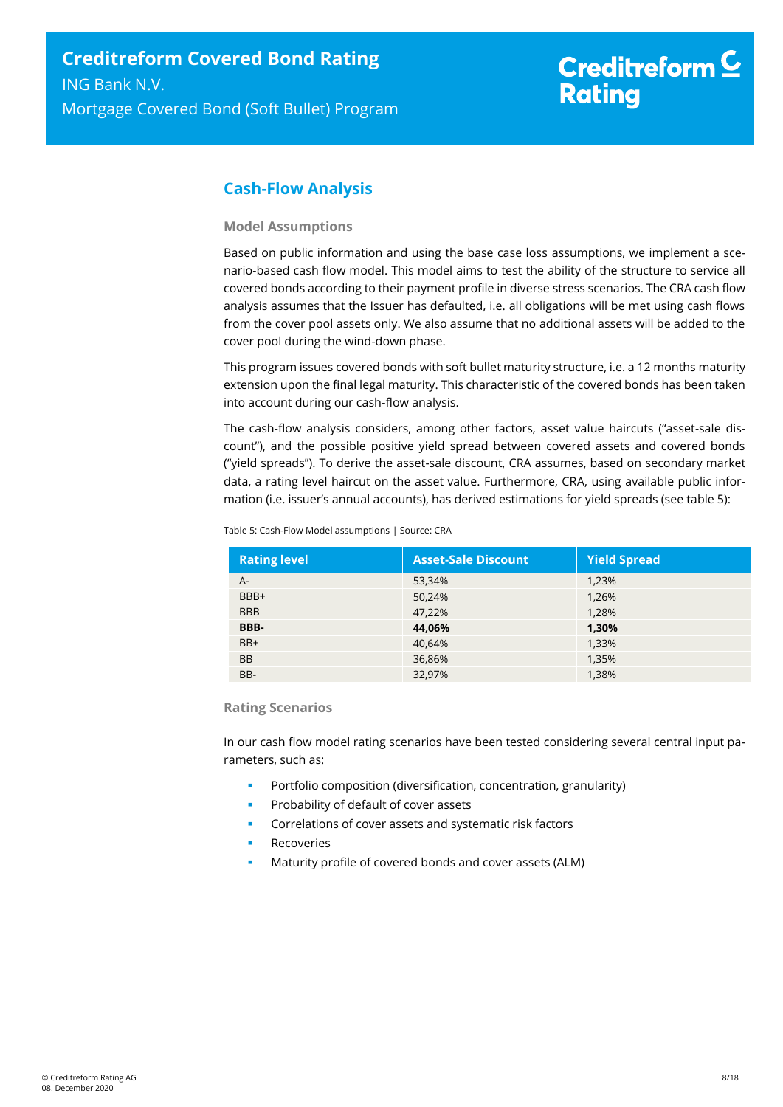# <span id="page-7-0"></span>**Cash-Flow Analysis**

#### **Model Assumptions**

Based on public information and using the base case loss assumptions, we implement a scenario-based cash flow model. This model aims to test the ability of the structure to service all covered bonds according to their payment profile in diverse stress scenarios. The CRA cash flow analysis assumes that the Issuer has defaulted, i.e. all obligations will be met using cash flows from the cover pool assets only. We also assume that no additional assets will be added to the cover pool during the wind-down phase.

This program issues covered bonds with soft bullet maturity structure, i.e. a 12 months maturity extension upon the final legal maturity. This characteristic of the covered bonds has been taken into account during our cash-flow analysis.

The cash-flow analysis considers, among other factors, asset value haircuts ("asset-sale discount"), and the possible positive yield spread between covered assets and covered bonds ("yield spreads"). To derive the asset-sale discount, CRA assumes, based on secondary market data, a rating level haircut on the asset value. Furthermore, CRA, using available public information (i.e. issuer's annual accounts), has derived estimations for yield spreads (see table 5):

| <b>Rating level</b> | <b>Asset-Sale Discount</b> | <b>Yield Spread</b> |
|---------------------|----------------------------|---------------------|
| A-                  | 53,34%                     | 1,23%               |
| BBB+                | 50,24%                     | 1,26%               |
| <b>BBB</b>          | 47,22%                     | 1,28%               |
| BBB-                | 44,06%                     | 1,30%               |
| $BB+$               | 40,64%                     | 1,33%               |
| <b>BB</b>           | 36,86%                     | 1,35%               |
| BB-                 | 32,97%                     | 1,38%               |

Table 5: Cash-Flow Model assumptions | Source: CRA

#### **Rating Scenarios**

In our cash flow model rating scenarios have been tested considering several central input parameters, such as:

- Portfolio composition (diversification, concentration, granularity)
- Probability of default of cover assets
- Correlations of cover assets and systematic risk factors
- Recoveries
- Maturity profile of covered bonds and cover assets (ALM)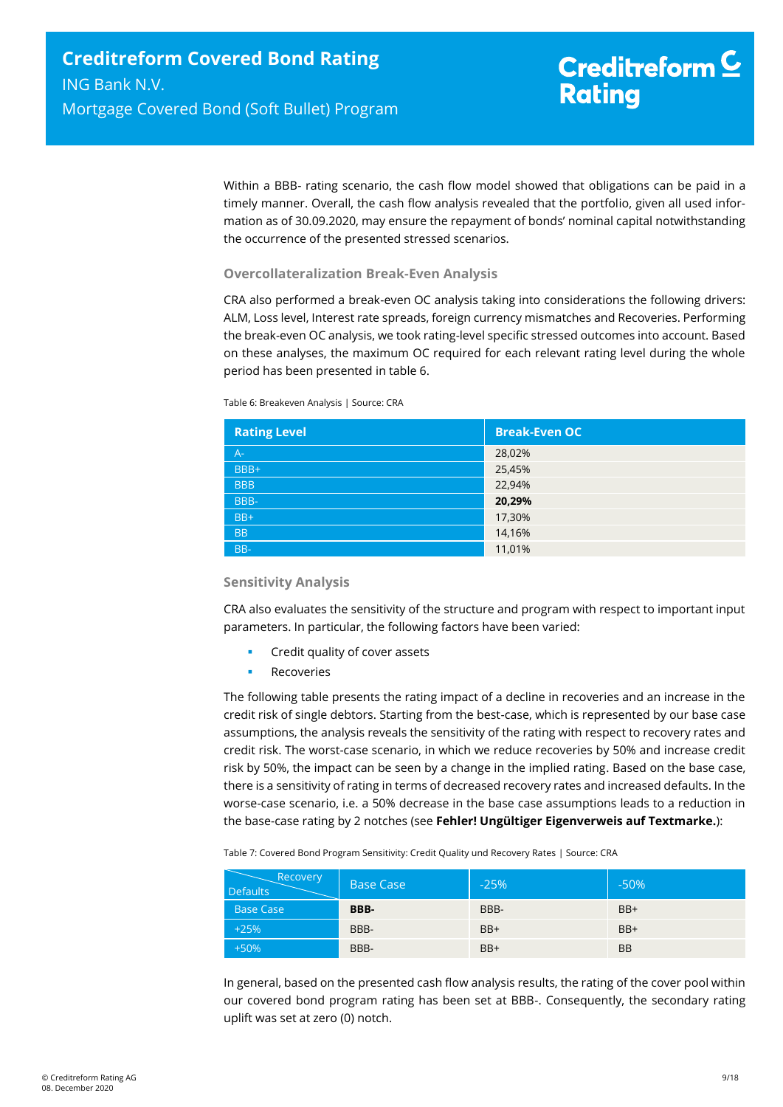Within a BBB- rating scenario, the cash flow model showed that obligations can be paid in a timely manner. Overall, the cash flow analysis revealed that the portfolio, given all used information as of 30.09.2020, may ensure the repayment of bonds' nominal capital notwithstanding the occurrence of the presented stressed scenarios.

#### **Overcollateralization Break-Even Analysis**

CRA also performed a break-even OC analysis taking into considerations the following drivers: ALM, Loss level, Interest rate spreads, foreign currency mismatches and Recoveries. Performing the break-even OC analysis, we took rating-level specific stressed outcomes into account. Based on these analyses, the maximum OC required for each relevant rating level during the whole period has been presented in table 6.

Table 6: Breakeven Analysis | Source: CRA

| <b>Rating Level</b> | <b>Break-Even OC</b> |
|---------------------|----------------------|
| $A -$               | 28,02%               |
| BBB+                | 25,45%               |
| <b>BBB</b>          | 22,94%               |
| BBB-                | 20,29%               |
| $BB+$               | 17,30%               |
| <b>BB</b>           | 14,16%               |
| BB-                 | 11,01%               |

#### **Sensitivity Analysis**

CRA also evaluates the sensitivity of the structure and program with respect to important input parameters. In particular, the following factors have been varied:

- Credit quality of cover assets
- Recoveries

The following table presents the rating impact of a decline in recoveries and an increase in the credit risk of single debtors. Starting from the best-case, which is represented by our base case assumptions, the analysis reveals the sensitivity of the rating with respect to recovery rates and credit risk. The worst-case scenario, in which we reduce recoveries by 50% and increase credit risk by 50%, the impact can be seen by a change in the implied rating. Based on the base case, there is a sensitivity of rating in terms of decreased recovery rates and increased defaults. In the worse-case scenario, i.e. a 50% decrease in the base case assumptions leads to a reduction in the base-case rating by 2 notches (see **Fehler! Ungültiger Eigenverweis auf Textmarke.**):

Table 7: Covered Bond Program Sensitivity: Credit Quality und Recovery Rates | Source: CRA

| Recovery<br><b>Defaults</b> | <b>Base Case</b> | $-25%$ | $-50%$    |
|-----------------------------|------------------|--------|-----------|
| <b>Base Case</b>            | BBB-             | BBB-   | $BB+$     |
| $+25%$                      | BBB-             | $BB+$  | $BB+$     |
| $+50%$                      | BBB-             | $BB+$  | <b>BB</b> |

In general, based on the presented cash flow analysis results, the rating of the cover pool within our covered bond program rating has been set at BBB-. Consequently, the secondary rating uplift was set at zero (0) notch.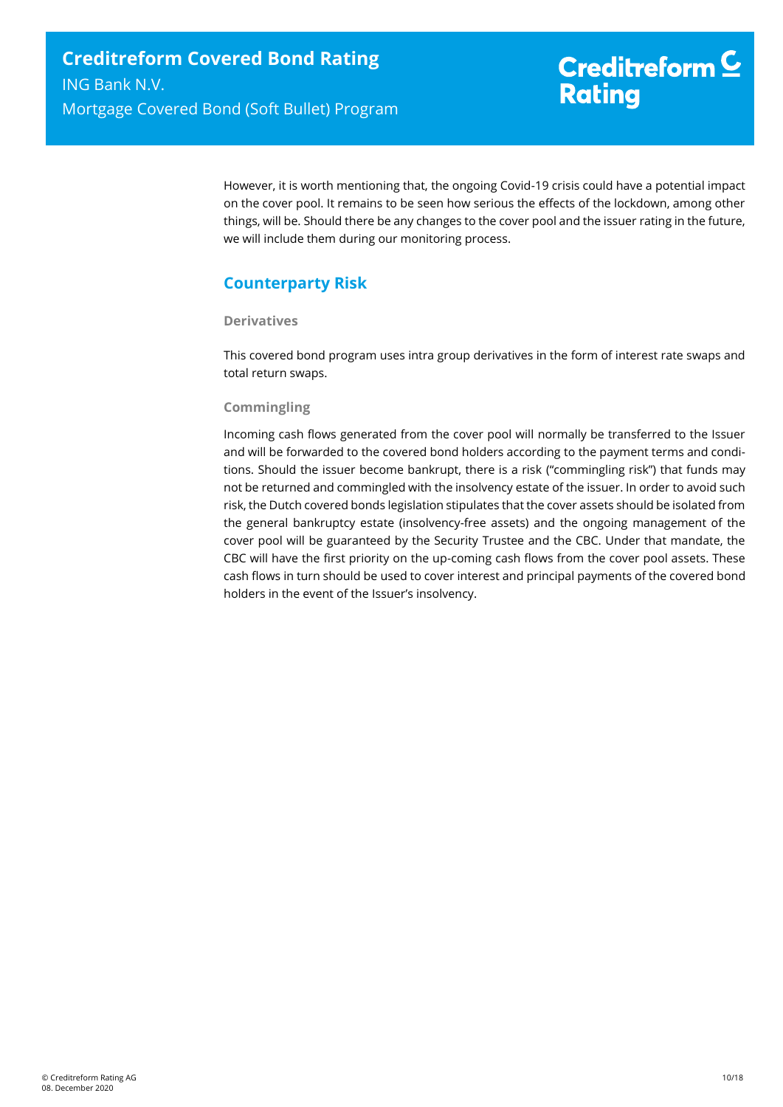However, it is worth mentioning that, the ongoing Covid-19 crisis could have a potential impact on the cover pool. It remains to be seen how serious the effects of the lockdown, among other things, will be. Should there be any changes to the cover pool and the issuer rating in the future, we will include them during our monitoring process.

# <span id="page-9-0"></span>**Counterparty Risk**

#### **Derivatives**

This covered bond program uses intra group derivatives in the form of interest rate swaps and total return swaps.

#### **Commingling**

Incoming cash flows generated from the cover pool will normally be transferred to the Issuer and will be forwarded to the covered bond holders according to the payment terms and conditions. Should the issuer become bankrupt, there is a risk ("commingling risk") that funds may not be returned and commingled with the insolvency estate of the issuer. In order to avoid such risk, the Dutch covered bonds legislation stipulates that the cover assets should be isolated from the general bankruptcy estate (insolvency-free assets) and the ongoing management of the cover pool will be guaranteed by the Security Trustee and the CBC. Under that mandate, the CBC will have the first priority on the up-coming cash flows from the cover pool assets. These cash flows in turn should be used to cover interest and principal payments of the covered bond holders in the event of the Issuer's insolvency.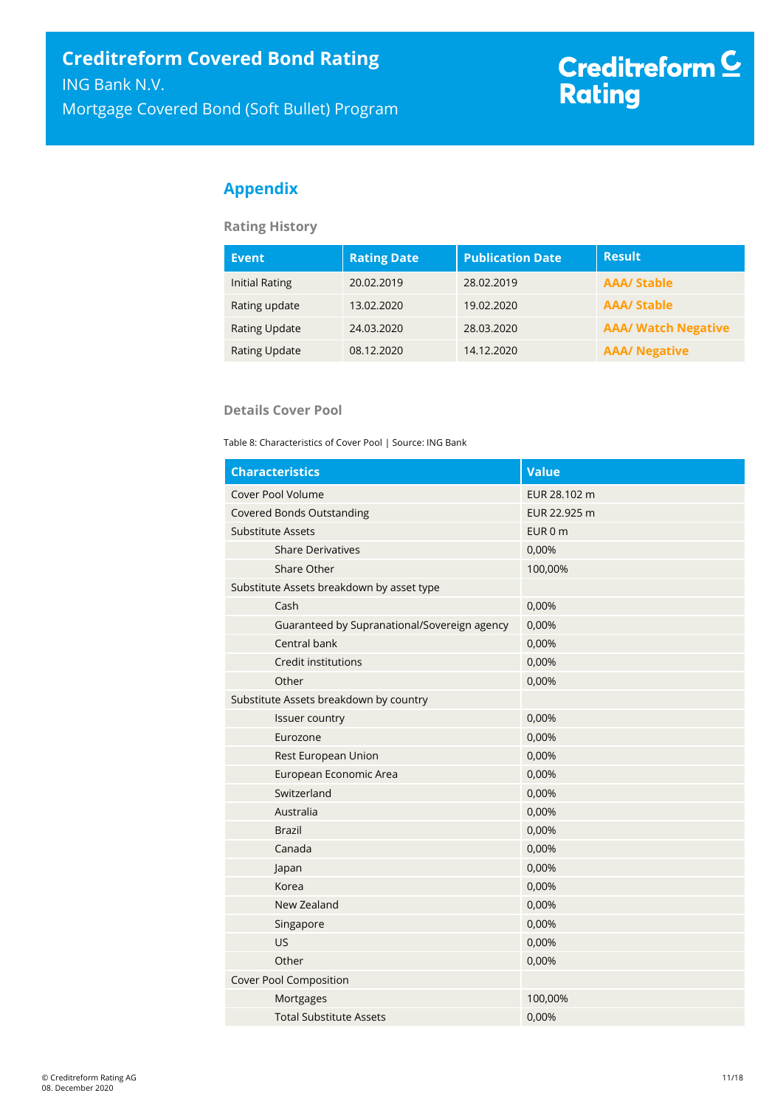# <span id="page-10-0"></span>**Appendix**

**Rating History**

| <b>Event</b>          | <b>Rating Date</b> | <b>Publication Date</b> | <b>Result</b>              |
|-----------------------|--------------------|-------------------------|----------------------------|
| <b>Initial Rating</b> | 20.02.2019         | 28.02.2019              | <b>AAA/ Stable</b>         |
| Rating update         | 13.02.2020         | 19.02.2020              | <b>AAA/Stable</b>          |
| <b>Rating Update</b>  | 24.03.2020         | 28.03.2020              | <b>AAA/ Watch Negative</b> |
| Rating Update         | 08.12.2020         | 14.12.2020              | <b>AAA/ Negative</b>       |

#### **Details Cover Pool**

Table 8: Characteristics of Cover Pool | Source: ING Bank

| <b>Characteristics</b>                       | Value        |
|----------------------------------------------|--------------|
| Cover Pool Volume                            | EUR 28.102 m |
| <b>Covered Bonds Outstanding</b>             | EUR 22.925 m |
| <b>Substitute Assets</b>                     | EUR 0 m      |
| <b>Share Derivatives</b>                     | 0,00%        |
| Share Other                                  | 100,00%      |
| Substitute Assets breakdown by asset type    |              |
| Cash                                         | 0,00%        |
| Guaranteed by Supranational/Sovereign agency | 0,00%        |
| Central bank                                 | 0,00%        |
| Credit institutions                          | 0,00%        |
| Other                                        | 0,00%        |
| Substitute Assets breakdown by country       |              |
| Issuer country                               | 0,00%        |
| Eurozone                                     | 0,00%        |
| Rest European Union                          | 0,00%        |
| European Economic Area                       | 0,00%        |
| Switzerland                                  | 0,00%        |
| Australia                                    | 0,00%        |
| <b>Brazil</b>                                | 0,00%        |
| Canada                                       | 0,00%        |
| Japan                                        | 0,00%        |
| Korea                                        | 0,00%        |
| New Zealand                                  | 0,00%        |
| Singapore                                    | 0,00%        |
| <b>US</b>                                    | 0,00%        |
| Other                                        | 0,00%        |
| <b>Cover Pool Composition</b>                |              |
| Mortgages                                    | 100,00%      |
| <b>Total Substitute Assets</b>               | 0,00%        |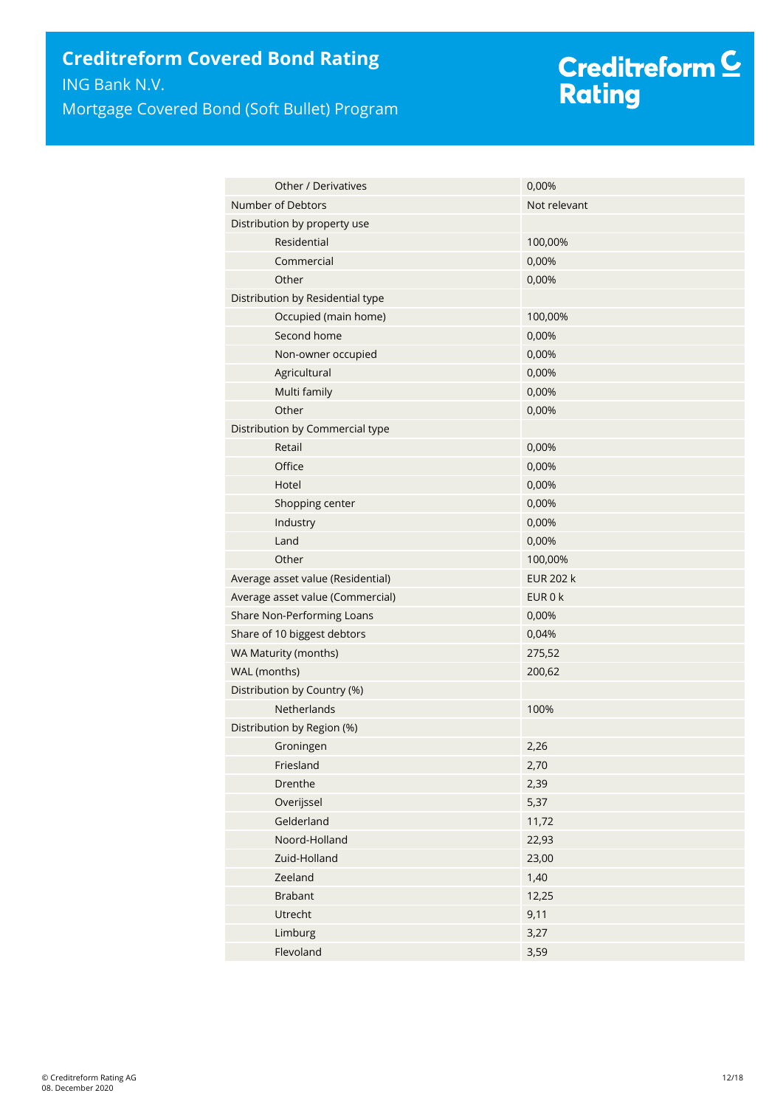# Creditreform <mark>C</mark><br>Rating

| <b>Other / Derivatives</b>        | 0,00%            |
|-----------------------------------|------------------|
| Number of Debtors                 | Not relevant     |
| Distribution by property use      |                  |
| Residential                       | 100,00%          |
| Commercial                        | 0,00%            |
| Other                             | 0,00%            |
| Distribution by Residential type  |                  |
| Occupied (main home)              | 100,00%          |
| Second home                       | 0,00%            |
| Non-owner occupied                | 0,00%            |
| Agricultural                      | 0,00%            |
| Multi family                      | 0,00%            |
| Other                             | 0,00%            |
| Distribution by Commercial type   |                  |
| Retail                            | 0,00%            |
| Office                            | 0,00%            |
| Hotel                             | 0,00%            |
| Shopping center                   | 0,00%            |
| Industry                          | 0,00%            |
| Land                              | 0,00%            |
| Other                             | 100,00%          |
| Average asset value (Residential) | <b>EUR 202 k</b> |
| Average asset value (Commercial)  | EUR 0 k          |
| Share Non-Performing Loans        | 0,00%            |
| Share of 10 biggest debtors       | 0,04%            |
| WA Maturity (months)              | 275,52           |
| WAL (months)                      | 200,62           |
| Distribution by Country (%)       |                  |
| <b>Netherlands</b>                | 100%             |
| Distribution by Region (%)        |                  |
| Groningen                         | 2,26             |
| Friesland                         | 2,70             |
| Drenthe                           | 2,39             |
| Overijssel                        | 5,37             |
| Gelderland                        | 11,72            |
| Noord-Holland                     | 22,93            |
| Zuid-Holland                      | 23,00            |
| Zeeland                           | 1,40             |
| <b>Brabant</b>                    | 12,25            |
| Utrecht                           | 9,11             |
| Limburg                           | 3,27             |
| Flevoland                         | 3,59             |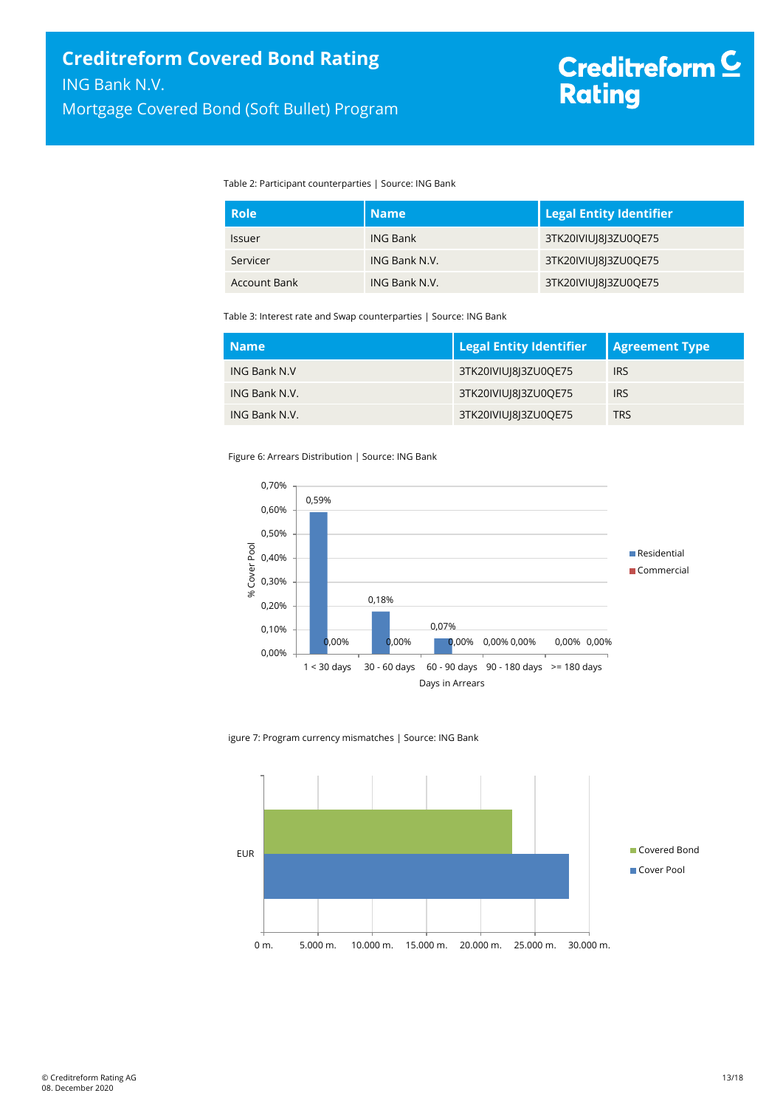Table 2: Participant counterparties | Source: ING Bank

| <b>Role</b>   | <b>Name</b>     | <b>Legal Entity Identifier</b> |
|---------------|-----------------|--------------------------------|
| <b>Issuer</b> | <b>ING Bank</b> | 3TK20IVIUI8I3ZU0QE75           |
| Servicer      | ING Bank N.V.   | 3TK20IVIUI8I3ZU0QE75           |
| Account Bank  | ING Bank N.V.   | 3TK20IVIUI8I3ZU0QE75           |

Table 3: Interest rate and Swap counterparties | Source: ING Bank

| <b>Name</b>         | <b>Legal Entity Identifier</b> | <b>Agreement Type</b> |
|---------------------|--------------------------------|-----------------------|
| <b>ING Bank N.V</b> | 3TK20IVIUI8I3ZU0QE75           | <b>IRS</b>            |
| ING Bank N.V.       | 3TK20IVIUI8I3ZU0QE75           | <b>IRS</b>            |
| ING Bank N.V.       | 3TK20IVIUI8I3ZU0QE75           | <b>TRS</b>            |

Figure 6: Arrears Distribution | Source: ING Bank



igure 7: Program currency mismatches | Source: ING Bank

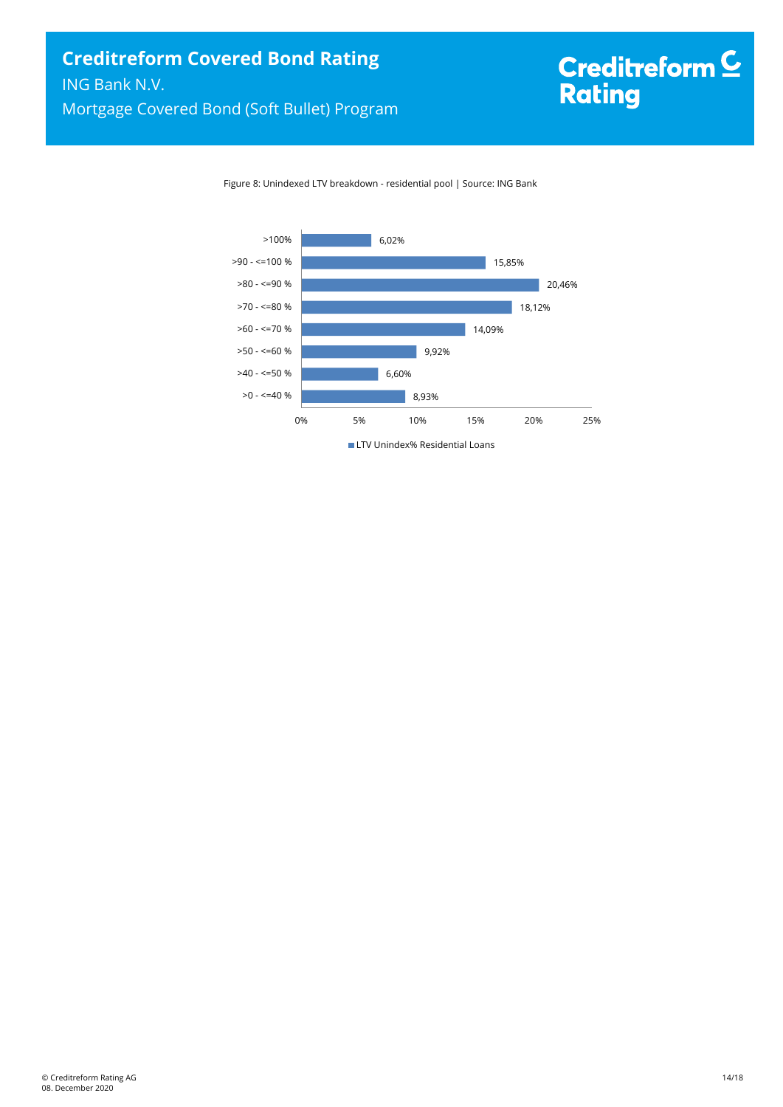Figure 8: Unindexed LTV breakdown - residential pool | Source: ING Bank



**LTV Unindex% Residential Loans**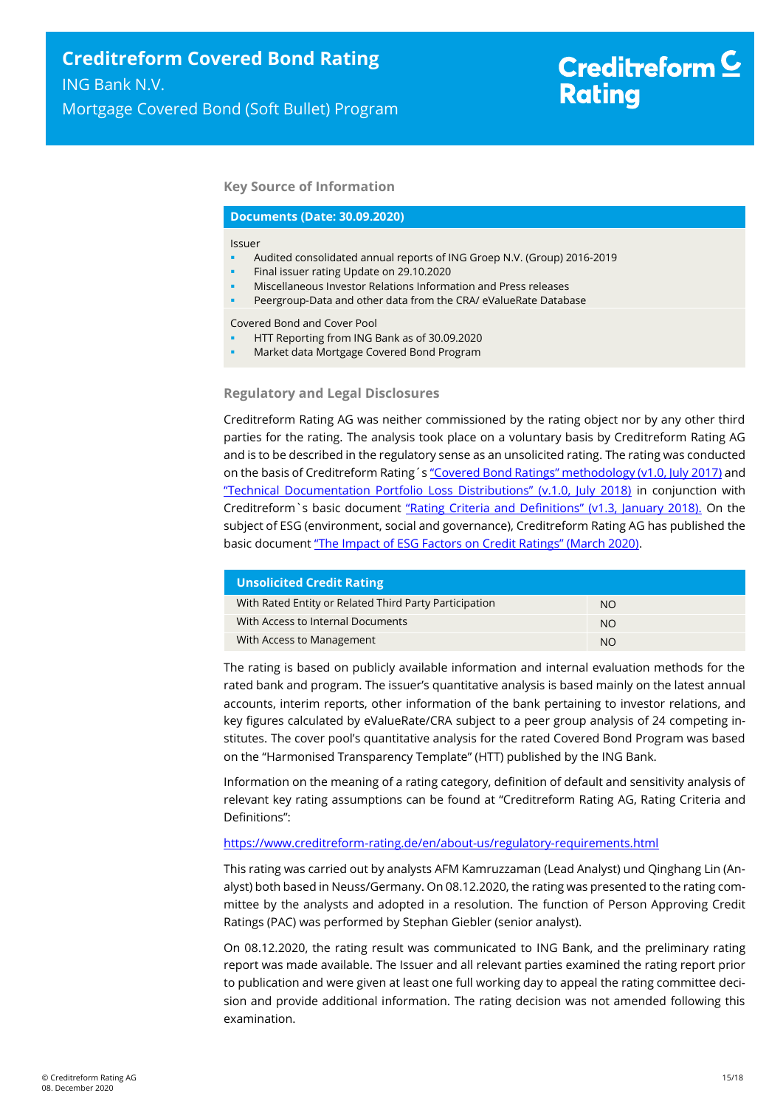#### **Key Source of Information**

#### **Documents (Date: 30.09.2020)**

#### Issuer

- Audited consolidated annual reports of ING Groep N.V. (Group) 2016-2019
- Final issuer rating Update on 29.10.2020
- Miscellaneous Investor Relations Information and Press releases
- Peergroup-Data and other data from the CRA/ eValueRate Database

Covered Bond and Cover Pool

- HTT Reporting from ING Bank as of 30.09.2020
- Market data Mortgage Covered Bond Program

#### **Regulatory and Legal Disclosures**

Creditreform Rating AG was neither commissioned by the rating object nor by any other third parties for the rating. The analysis took place on a voluntary basis by Creditreform Rating AG and is to be described in the regulatory sense as an unsolicited rating. The rating was conducted on the basis of Creditreform Rating's "Covered Bond Ratings" m[ethodology \(v1.0, July 2017\)](https://creditreform-rating.de/en/about-us/regulatory-requirements.html?file=files/content/downloads/Externes%20Rating/Regulatorische%20Anforderungen/EN/Ratingmethodiken%20EN/Rating%20Methodology%20Covered%20Bonds.pdf) and ["Technical Documentation Portfolio Loss Distributions" \(v.1.0, July 2018\)](https://creditreform-rating.de/en/about-us/regulatory-requirements.html?file=files/content/downloads/Externes%20Rating/Regulatorische%20Anforderungen/EN/Ratingmethodiken%20EN/Technical%20Documentation%20Portfolio%20Loss%20Distributions.pdf) in conjunction with Creditreform`s basic document ["Rating Criteria and Definitions" \(v1.3, January 2018\).](https://creditreform-rating.de/en/about-us/regulatory-requirements.html?file=files/content/downloads/Externes%20Rating/Regulatorische%20Anforderungen/EN/Ratingmethodiken%20EN/CRAG%20Rating%20Criteria%20and%20Definitions.pdf) On the subject of ESG (environment, social and governance), Creditreform Rating AG has published the basic document ["The Impact of ESG Factors on Credit Ratings" \(March 2020\)](https://creditreform-rating.de/en/about-us/regulatory-requirements.html?file=files/content/downloads/Externes%20Rating/Regulatorische%20Anforderungen/EN/Ratingmethodiken%20EN/The%20Impact%20of%20ESG%20Factors%20on%20Credit%20Ratings.pdf).

| <b>Unsolicited Credit Rating</b>                       |           |
|--------------------------------------------------------|-----------|
| With Rated Entity or Related Third Party Participation | NO.       |
| With Access to Internal Documents                      | <b>NO</b> |
| With Access to Management                              | <b>NO</b> |

The rating is based on publicly available information and internal evaluation methods for the rated bank and program. The issuer's quantitative analysis is based mainly on the latest annual accounts, interim reports, other information of the bank pertaining to investor relations, and key figures calculated by eValueRate/CRA subject to a peer group analysis of 24 competing institutes. The cover pool's quantitative analysis for the rated Covered Bond Program was based on the "Harmonised Transparency Template" (HTT) published by the ING Bank.

Information on the meaning of a rating category, definition of default and sensitivity analysis of relevant key rating assumptions can be found at "Creditreform Rating AG, Rating Criteria and Definitions":

#### <https://www.creditreform-rating.de/en/about-us/regulatory-requirements.html>

This rating was carried out by analysts AFM Kamruzzaman (Lead Analyst) und Qinghang Lin (Analyst) both based in Neuss/Germany. On 08.12.2020, the rating was presented to the rating committee by the analysts and adopted in a resolution. The function of Person Approving Credit Ratings (PAC) was performed by Stephan Giebler (senior analyst).

On 08.12.2020, the rating result was communicated to ING Bank, and the preliminary rating report was made available. The Issuer and all relevant parties examined the rating report prior to publication and were given at least one full working day to appeal the rating committee decision and provide additional information. The rating decision was not amended following this examination.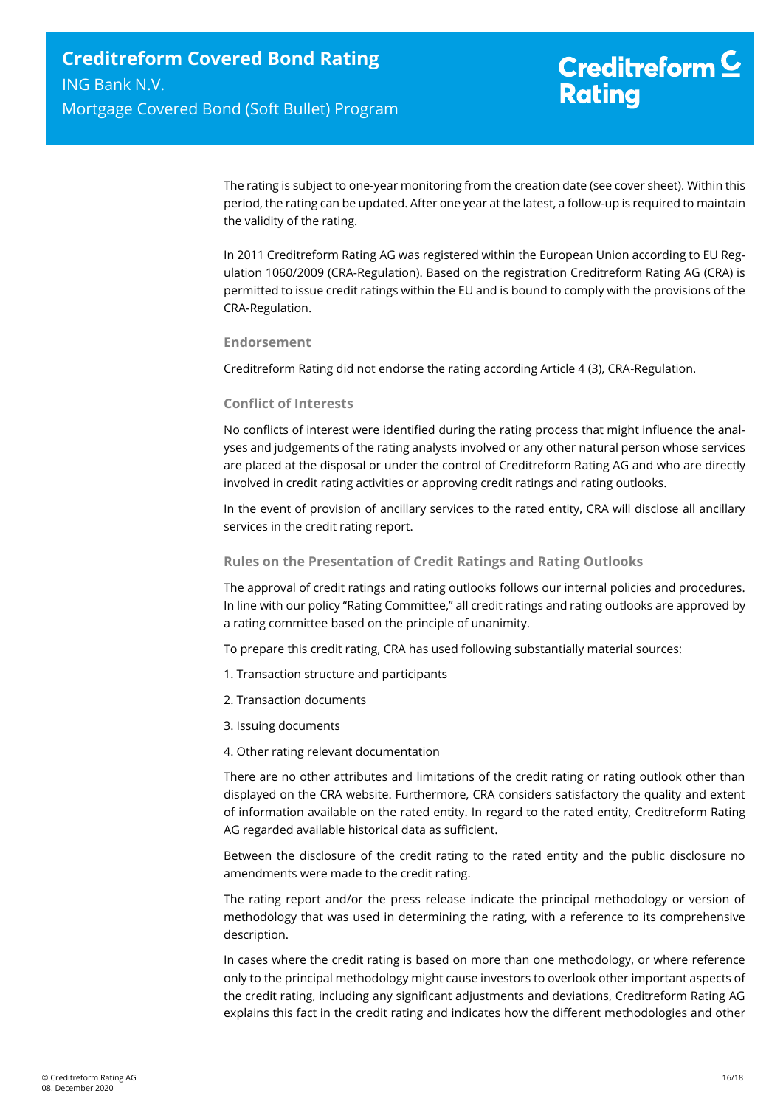The rating is subject to one-year monitoring from the creation date (see cover sheet). Within this period, the rating can be updated. After one year at the latest, a follow-up is required to maintain the validity of the rating.

In 2011 Creditreform Rating AG was registered within the European Union according to EU Regulation 1060/2009 (CRA-Regulation). Based on the registration Creditreform Rating AG (CRA) is permitted to issue credit ratings within the EU and is bound to comply with the provisions of the CRA-Regulation.

#### **Endorsement**

Creditreform Rating did not endorse the rating according Article 4 (3), CRA-Regulation.

#### **Conflict of Interests**

No conflicts of interest were identified during the rating process that might influence the analyses and judgements of the rating analysts involved or any other natural person whose services are placed at the disposal or under the control of Creditreform Rating AG and who are directly involved in credit rating activities or approving credit ratings and rating outlooks.

In the event of provision of ancillary services to the rated entity, CRA will disclose all ancillary services in the credit rating report.

#### **Rules on the Presentation of Credit Ratings and Rating Outlooks**

The approval of credit ratings and rating outlooks follows our internal policies and procedures. In line with our policy "Rating Committee," all credit ratings and rating outlooks are approved by a rating committee based on the principle of unanimity.

To prepare this credit rating, CRA has used following substantially material sources:

- 1. Transaction structure and participants
- 2. Transaction documents
- 3. Issuing documents
- 4. Other rating relevant documentation

There are no other attributes and limitations of the credit rating or rating outlook other than displayed on the CRA website. Furthermore, CRA considers satisfactory the quality and extent of information available on the rated entity. In regard to the rated entity, Creditreform Rating AG regarded available historical data as sufficient.

Between the disclosure of the credit rating to the rated entity and the public disclosure no amendments were made to the credit rating.

The rating report and/or the press release indicate the principal methodology or version of methodology that was used in determining the rating, with a reference to its comprehensive description.

In cases where the credit rating is based on more than one methodology, or where reference only to the principal methodology might cause investors to overlook other important aspects of the credit rating, including any significant adjustments and deviations, Creditreform Rating AG explains this fact in the credit rating and indicates how the different methodologies and other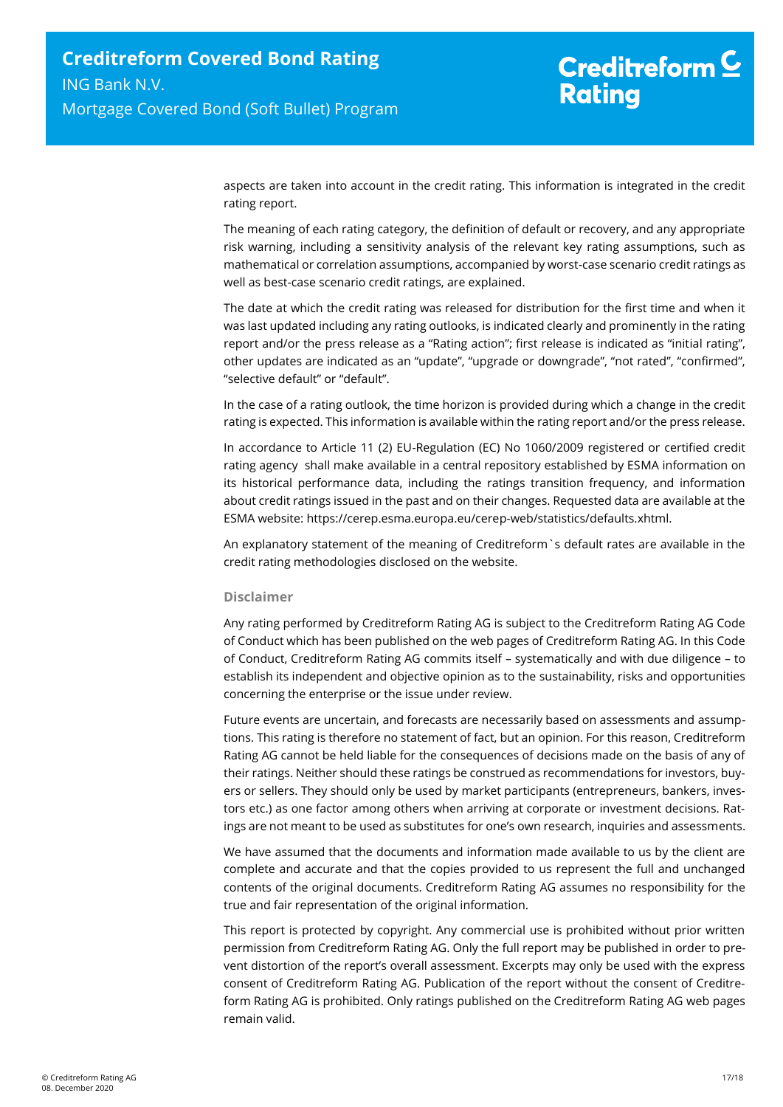aspects are taken into account in the credit rating. This information is integrated in the credit rating report.

The meaning of each rating category, the definition of default or recovery, and any appropriate risk warning, including a sensitivity analysis of the relevant key rating assumptions, such as mathematical or correlation assumptions, accompanied by worst-case scenario credit ratings as well as best-case scenario credit ratings, are explained.

The date at which the credit rating was released for distribution for the first time and when it was last updated including any rating outlooks, is indicated clearly and prominently in the rating report and/or the press release as a "Rating action"; first release is indicated as "initial rating", other updates are indicated as an "update", "upgrade or downgrade", "not rated", "confirmed", "selective default" or "default".

In the case of a rating outlook, the time horizon is provided during which a change in the credit rating is expected. This information is available within the rating report and/or the press release.

In accordance to Article 11 (2) EU-Regulation (EC) No 1060/2009 registered or certified credit rating agency shall make available in a central repository established by ESMA information on its historical performance data, including the ratings transition frequency, and information about credit ratings issued in the past and on their changes. Requested data are available at the ESMA website: https://cerep.esma.europa.eu/cerep-web/statistics/defaults.xhtml.

An explanatory statement of the meaning of Creditreform`s default rates are available in the credit rating methodologies disclosed on the website.

#### **Disclaimer**

Any rating performed by Creditreform Rating AG is subject to the Creditreform Rating AG Code of Conduct which has been published on the web pages of Creditreform Rating AG. In this Code of Conduct, Creditreform Rating AG commits itself – systematically and with due diligence – to establish its independent and objective opinion as to the sustainability, risks and opportunities concerning the enterprise or the issue under review.

Future events are uncertain, and forecasts are necessarily based on assessments and assumptions. This rating is therefore no statement of fact, but an opinion. For this reason, Creditreform Rating AG cannot be held liable for the consequences of decisions made on the basis of any of their ratings. Neither should these ratings be construed as recommendations for investors, buyers or sellers. They should only be used by market participants (entrepreneurs, bankers, investors etc.) as one factor among others when arriving at corporate or investment decisions. Ratings are not meant to be used as substitutes for one's own research, inquiries and assessments.

We have assumed that the documents and information made available to us by the client are complete and accurate and that the copies provided to us represent the full and unchanged contents of the original documents. Creditreform Rating AG assumes no responsibility for the true and fair representation of the original information.

This report is protected by copyright. Any commercial use is prohibited without prior written permission from Creditreform Rating AG. Only the full report may be published in order to prevent distortion of the report's overall assessment. Excerpts may only be used with the express consent of Creditreform Rating AG. Publication of the report without the consent of Creditreform Rating AG is prohibited. Only ratings published on the Creditreform Rating AG web pages remain valid.